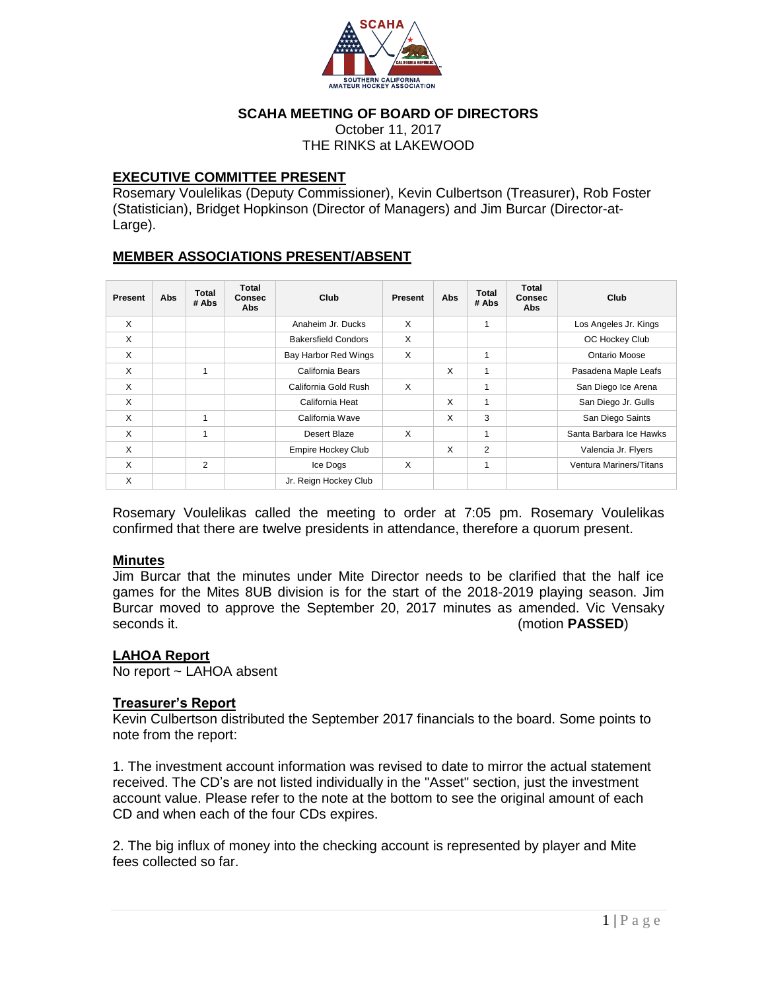

## **SCAHA MEETING OF BOARD OF DIRECTORS**

October 11, 2017 THE RINKS at LAKEWOOD

### **EXECUTIVE COMMITTEE PRESENT**

Rosemary Voulelikas (Deputy Commissioner), Kevin Culbertson (Treasurer), Rob Foster (Statistician), Bridget Hopkinson (Director of Managers) and Jim Burcar (Director-at-Large).

### **MEMBER ASSOCIATIONS PRESENT/ABSENT**

| Present  | Abs | <b>Total</b><br># Abs | Total<br><b>Consec</b><br><b>Abs</b> | Club                       | Present | Abs | <b>Total</b><br># Abs | Total<br><b>Consec</b><br>Abs | Club                    |
|----------|-----|-----------------------|--------------------------------------|----------------------------|---------|-----|-----------------------|-------------------------------|-------------------------|
| $\times$ |     |                       |                                      | Anaheim Jr. Ducks          | X       |     | 1                     |                               | Los Angeles Jr. Kings   |
| X        |     |                       |                                      | <b>Bakersfield Condors</b> | X       |     |                       |                               | OC Hockey Club          |
| X        |     |                       |                                      | Bay Harbor Red Wings       | X       |     |                       |                               | Ontario Moose           |
| X        |     | 1                     |                                      | California Bears           |         | X   | 1                     |                               | Pasadena Maple Leafs    |
| X        |     |                       |                                      | California Gold Rush       | X       |     | 1                     |                               | San Diego Ice Arena     |
| X        |     |                       |                                      | California Heat            |         | X   | 1                     |                               | San Diego Jr. Gulls     |
| X        |     | 1                     |                                      | California Wave            |         | X   | 3                     |                               | San Diego Saints        |
| X        |     | 1                     |                                      | Desert Blaze               | X       |     | 1                     |                               | Santa Barbara Ice Hawks |
| X        |     |                       |                                      | Empire Hockey Club         |         | X   | 2                     |                               | Valencia Jr. Flyers     |
| X        |     | 2                     |                                      | Ice Dogs                   | X       |     | 1                     |                               | Ventura Mariners/Titans |
| X        |     |                       |                                      | Jr. Reign Hockey Club      |         |     |                       |                               |                         |

Rosemary Voulelikas called the meeting to order at 7:05 pm. Rosemary Voulelikas confirmed that there are twelve presidents in attendance, therefore a quorum present.

### **Minutes**

Jim Burcar that the minutes under Mite Director needs to be clarified that the half ice games for the Mites 8UB division is for the start of the 2018-2019 playing season. Jim Burcar moved to approve the September 20, 2017 minutes as amended. Vic Vensaky seconds it. (motion **PASSED**)

## **LAHOA Report**

No report ~ LAHOA absent

### **Treasurer's Report**

Kevin Culbertson distributed the September 2017 financials to the board. Some points to note from the report:

1. The investment account information was revised to date to mirror the actual statement received. The CD's are not listed individually in the "Asset" section, just the investment account value. Please refer to the note at the bottom to see the original amount of each CD and when each of the four CDs expires.

2. The big influx of money into the checking account is represented by player and Mite fees collected so far.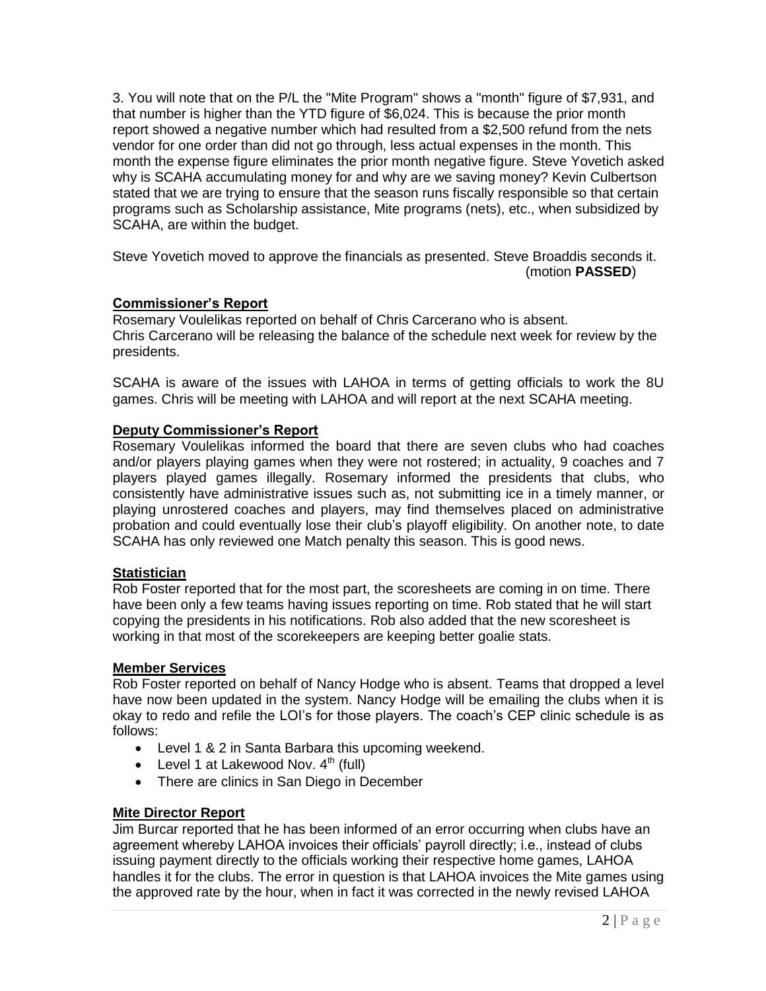3. You will note that on the P/L the "Mite Program" shows a "month" figure of \$7,931, and that number is higher than the YTD figure of \$6,024. This is because the prior month report showed a negative number which had resulted from a \$2,500 refund from the nets vendor for one order than did not go through, less actual expenses in the month. This month the expense figure eliminates the prior month negative figure. Steve Yovetich asked why is SCAHA accumulating money for and why are we saving money? Kevin Culbertson stated that we are trying to ensure that the season runs fiscally responsible so that certain programs such as Scholarship assistance, Mite programs (nets), etc., when subsidized by SCAHA, are within the budget.

Steve Yovetich moved to approve the financials as presented. Steve Broaddis seconds it. (motion **PASSED**)

# **Commissioner's Report**

Rosemary Voulelikas reported on behalf of Chris Carcerano who is absent. Chris Carcerano will be releasing the balance of the schedule next week for review by the presidents.

SCAHA is aware of the issues with LAHOA in terms of getting officials to work the 8U games. Chris will be meeting with LAHOA and will report at the next SCAHA meeting.

# **Deputy Commissioner's Report**

Rosemary Voulelikas informed the board that there are seven clubs who had coaches and/or players playing games when they were not rostered; in actuality, 9 coaches and 7 players played games illegally. Rosemary informed the presidents that clubs, who consistently have administrative issues such as, not submitting ice in a timely manner, or playing unrostered coaches and players, may find themselves placed on administrative probation and could eventually lose their club's playoff eligibility. On another note, to date SCAHA has only reviewed one Match penalty this season. This is good news.

## **Statistician**

Rob Foster reported that for the most part, the scoresheets are coming in on time. There have been only a few teams having issues reporting on time. Rob stated that he will start copying the presidents in his notifications. Rob also added that the new scoresheet is working in that most of the scorekeepers are keeping better goalie stats.

### **Member Services**

Rob Foster reported on behalf of Nancy Hodge who is absent. Teams that dropped a level have now been updated in the system. Nancy Hodge will be emailing the clubs when it is okay to redo and refile the LOI's for those players. The coach's CEP clinic schedule is as follows:

- Level 1 & 2 in Santa Barbara this upcoming weekend.
- Level 1 at Lakewood Nov.  $4<sup>th</sup>$  (full)
- There are clinics in San Diego in December

## **Mite Director Report**

Jim Burcar reported that he has been informed of an error occurring when clubs have an agreement whereby LAHOA invoices their officials' payroll directly; i.e., instead of clubs issuing payment directly to the officials working their respective home games, LAHOA handles it for the clubs. The error in question is that LAHOA invoices the Mite games using the approved rate by the hour, when in fact it was corrected in the newly revised LAHOA